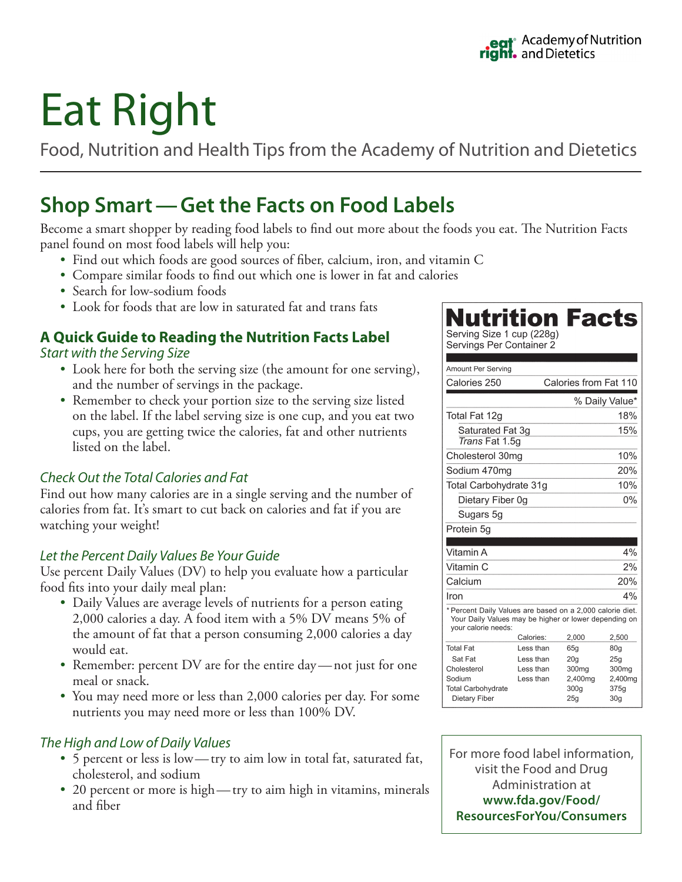# Eat Right

Food, Nutrition and Health Tips from the Academy of Nutrition and Dietetics

# **Shop Smart—Get the Facts on Food Labels**

Become a smart shopper by reading food labels to find out more about the foods you eat. The Nutrition Facts panel found on most food labels will help you:

- Find out which foods are good sources of fiber, calcium, iron, and vitamin C
- Compare similar foods to find out which one is lower in fat and calories
- Search for low-sodium foods
- Look for foods that are low in saturated fat and trans fats

#### **A Quick Guide to Reading the Nutrition Facts Label** *Start with the Serving Size*

- Look here for both the serving size (the amount for one serving), and the number of servings in the package.
- Remember to check your portion size to the serving size listed on the label. If the label serving size is one cup, and you eat two cups, you are getting twice the calories, fat and other nutrients listed on the label.

## *Check Out the Total Calories and Fat*

Find out how many calories are in a single serving and the number of calories from fat. It's smart to cut back on calories and fat if you are watching your weight!

## *Let the Percent Daily Values Be Your Guide*

Use percent Daily Values (DV) to help you evaluate how a particular food fits into your daily meal plan:

- Daily Values are average levels of nutrients for a person eating 2,000 calories a day. A food item with a 5% DV means 5% of the amount of fat that a person consuming 2,000 calories a day would eat.
- Remember: percent DV are for the entire day—not just for one meal or snack.
- You may need more or less than 2,000 calories per day. For some nutrients you may need more or less than 100% DV.

## *The High and Low of Daily Values*

- 5 percent or less is low—try to aim low in total fat, saturated fat, cholesterol, and sodium
- 20 percent or more is high—try to aim high in vitamins, minerals and fiber

# **Nutrition Facts** Serving Size 1 cup (228g)

Servings Per Container 2

| <b>Amount Per Serving</b>                                                                                                                 |           |                       |                 |
|-------------------------------------------------------------------------------------------------------------------------------------------|-----------|-----------------------|-----------------|
| Calories 250                                                                                                                              |           | Calories from Fat 110 |                 |
|                                                                                                                                           |           |                       | % Daily Value*  |
| Total Fat 12g                                                                                                                             |           |                       | 18%             |
| Saturated Fat 3q<br>Trans Fat 1.5q                                                                                                        |           |                       | 15%             |
| Cholesterol 30mg                                                                                                                          |           |                       | 10%             |
| Sodium 470mg                                                                                                                              |           |                       | 20%             |
| Total Carbohydrate 31g                                                                                                                    |           |                       | 10%             |
| Dietary Fiber 0g                                                                                                                          |           |                       | 0%              |
| Sugars 5g                                                                                                                                 |           |                       |                 |
| Protein 5g                                                                                                                                |           |                       |                 |
|                                                                                                                                           |           |                       |                 |
| Vitamin A                                                                                                                                 |           |                       | 4%              |
| Vitamin C                                                                                                                                 |           |                       | 2%              |
| Calcium                                                                                                                                   |           |                       | 20%             |
| Iron                                                                                                                                      |           |                       | 4%              |
|                                                                                                                                           |           |                       |                 |
| * Percent Daily Values are based on a 2,000 calorie diet.<br>Your Daily Values may be higher or lower depending on<br>your calorie needs: |           |                       |                 |
|                                                                                                                                           | Calories: | 2,000                 | 2,500           |
| <b>Total Fat</b>                                                                                                                          | Less than | 65g                   | 80 <sub>g</sub> |
| Sat Fat                                                                                                                                   | Less than | 20 <sub>q</sub>       | 25 <sub>q</sub> |
| Cholesterol                                                                                                                               | Less than | 300 <sub>mq</sub>     | 300mg           |
| Sodium<br><b>Total Carbohydrate</b>                                                                                                       | Less than | 2,400mg<br>300q       | 2,400mg<br>375q |

For more food label information, visit the Food and Drug Administration at **www.fda.gov/Food/ ResourcesForYou/Consumers**